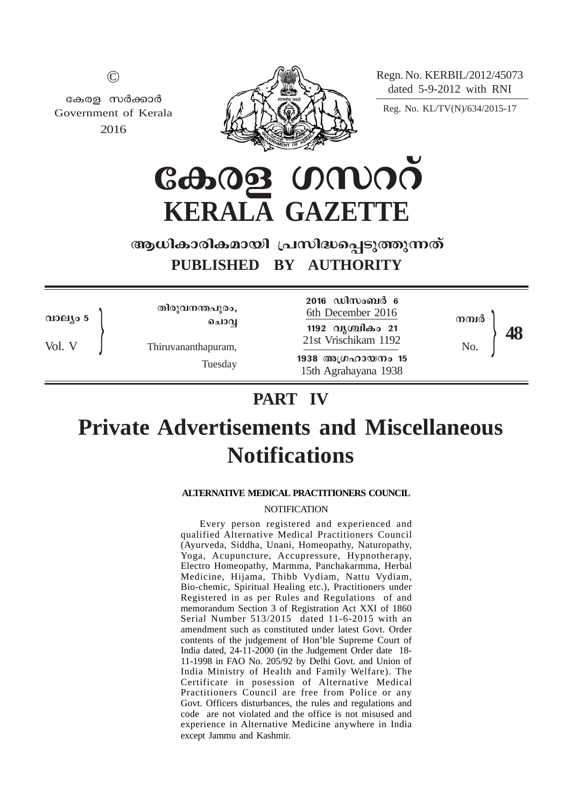Regn. No. KERBIL/2012/45073 dated 5-9-2012 with RNI

Reg. No. KL/TV(N)/634/2015-17

| v. |  |
|----|--|

കേരള സർക്കാർ Government of Kerala 2016



**CA.08 UMOO KERALA GAZETTE**

## ആധികാരികമായി പ്രസിദ്ധപ്പെടുത്തുന്നത് **PUBLISHED BY AUTHORITY**

വാല്യം 5

Vol. V

തിരുവനന്തപുരം, **ചൊവ്വ** 

Thiruvananthapuram,

Tuesday

6th December 2016 1192 വൃശ്ചികം 21  $\left\{\n\begin{array}{r}\n\text{This2 (hysiniso 2)}\n\text{This2 (hysiniso 2)}\n\end{array}\n\right.\n\left.\n\begin{array}{r}\n\text{This3 (hysiniso 2)}\n\end{array}\n\right.\n\left.\n\begin{array}{r}\n\text{This4 (hysiniso 2)}\n\end{array}\n\right.\n\left.\n\begin{array}{r}\n\text{This4 (i)}\n\end{array}\n\right.\n\left.\n\begin{array}{r}\n\text{This5 (i)}\n\end{array}\n\right.\n\left.\n\begin{array}{r}\n\text{This6 (i)}\n\end{array}\n\$ **1938** അഗ്രഹായനം 15 15th Agrahayana 1938

2016 ഡിസംബർ 6

**48** നന്വർ

# **PART IV**

# **Private Advertisements and Miscellaneous Notifications**

## **ALTERNATIVE MEDICAL PRACTITIONERS COUNCIL**

## **NOTIFICATION**

Every person registered and experienced and qualified Alternative Medical Practitioners Council (Ayurveda, Siddha, Unani, Homeopathy, Naturopathy, Yoga, Acupuncture, Accupressure, Hypnotherapy, Electro Homeopathy, Marmma, Panchakarmma, Herbal Medicine, Hijama, Thibb Vydiam, Nattu Vydiam, Bio-chemic, Spiritual Healing etc.), Practitioners under Registered in as per Rules and Regulations of and memorandum Section 3 of Registration Act XXI of 1860 Serial Number 513/2015 dated 11-6-2015 with an amendment such as constituted under latest Govt. Order contents of the judgement of Hon'ble Supreme Court of India dated, 24-11-2000 (in the Judgement Order date 18- 11-1998 in FAO No. 205/92 by Delhi Govt. and Union of India Ministry of Health and Family Welfare). The Certificate in posession of Alternative Medical Practitioners Council are free from Police or any Govt. Officers disturbances, the rules and regulations and code are not violated and the office is not misused and experience in Alternative Medicine anywhere in India except Jammu and Kashmir.